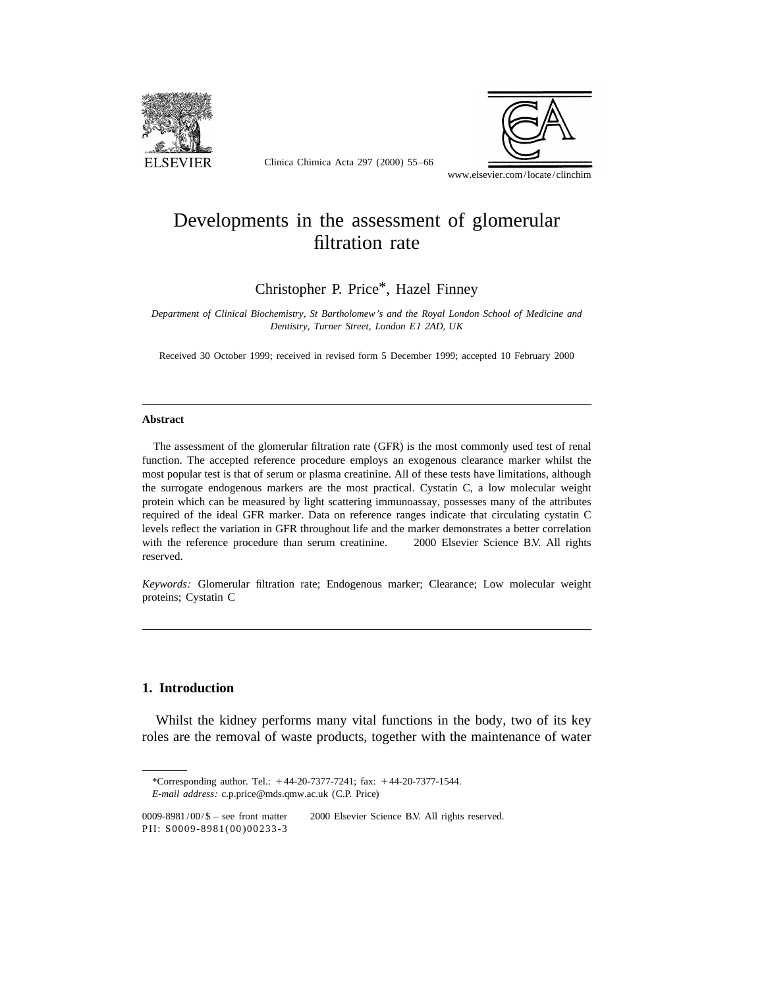

Clinica Chimica Acta 297 (2000) 55–66



www.elsevier.com/locate/clinchim

# Developments in the assessment of glomerular filtration rate

Christopher P. Price\*, Hazel Finney

*Department of Clinical Biochemistry*, *St Bartholomew*'*s and the Royal London School of Medicine and Dentistry*, *Turner Street*, *London E*<sup>1</sup> <sup>2</sup>*AD*, *UK* 

Received 30 October 1999; received in revised form 5 December 1999; accepted 10 February 2000

#### **Abstract**

The assessment of the glomerular filtration rate (GFR) is the most commonly used test of renal function. The accepted reference procedure employs an exogenous clearance marker whilst the most popular test is that of serum or plasma creatinine. All of these tests have limitations, although the surrogate endogenous markers are the most practical. Cystatin C, a low molecular weight protein which can be measured by light scattering immunoassay, possesses many of the attributes required of the ideal GFR marker. Data on reference ranges indicate that circulating cystatin C levels reflect the variation in GFR throughout life and the marker demonstrates a better correlation with the reference procedure than serum creatinine.  $\circ$  2000 Elsevier Science B.V. All rights reserved.

*Keywords*: Glomerular filtration rate; Endogenous marker; Clearance; Low molecular weight proteins; Cystatin C

# **1. Introduction**

Whilst the kidney performs many vital functions in the body, two of its key roles are the removal of waste products, together with the maintenance of water

<sup>\*</sup>Corresponding author. Tel.:  $+44-20-7377-7241$ ; fax:  $+44-20-7377-1544$ . *E*-*mail address*: c.p.price@mds.qmw.ac.uk (C.P. Price)

<sup>0009-8981/00/\$ –</sup> see front matter © 2000 Elsevier Science B.V. All rights reserved. PII: S0009-8981(00)00233-3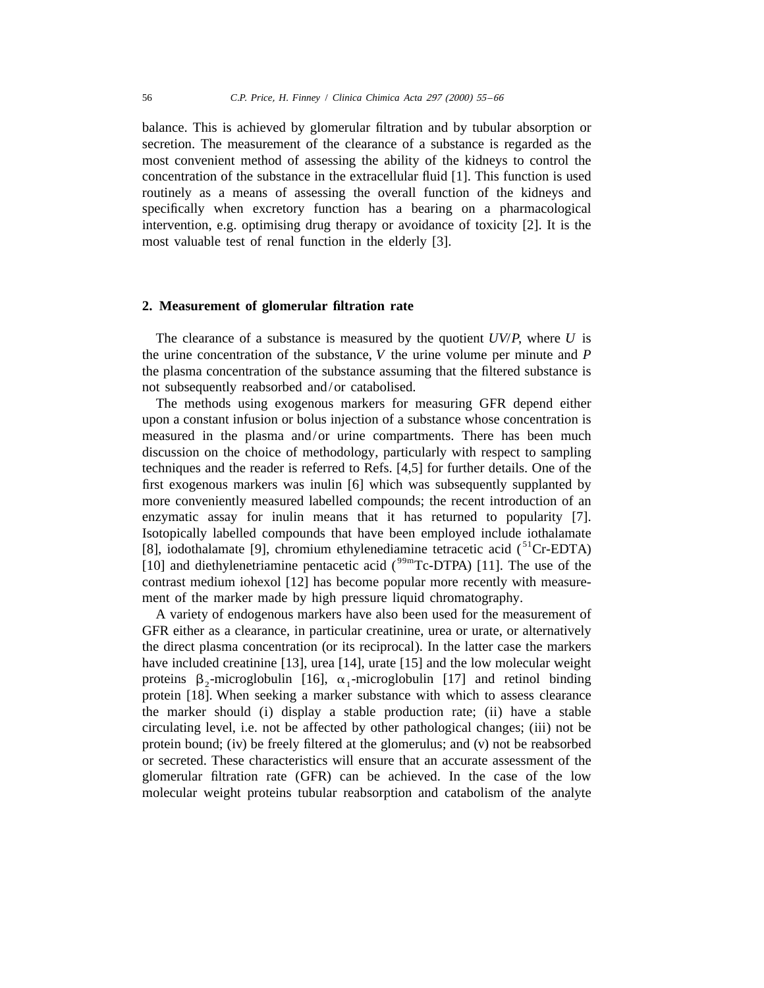balance. This is achieved by glomerular filtration and by tubular absorption or secretion. The measurement of the clearance of a substance is regarded as the most convenient method of assessing the ability of the kidneys to control the concentration of the substance in the extracellular fluid [1]. This function is used routinely as a means of assessing the overall function of the kidneys and specifically when excretory function has a bearing on a pharmacological intervention, e.g. optimising drug therapy or avoidance of toxicity [2]. It is the most valuable test of renal function in the elderly [3].

#### **2. Measurement of glomerular filtration rate**

The clearance of a substance is measured by the quotient *UV*/*P*, where *U* is the urine concentration of the substance, *V* the urine volume per minute and *P*  the plasma concentration of the substance assuming that the filtered substance is not subsequently reabsorbed and/or catabolised.

The methods using exogenous markers for measuring GFR depend either upon a constant infusion or bolus injection of a substance whose concentration is measured in the plasma and/or urine compartments. There has been much discussion on the choice of methodology, particularly with respect to sampling techniques and the reader is referred to Refs. [4,5] for further details. One of the first exogenous markers was inulin [6] which was subsequently supplanted by more conveniently measured labelled compounds; the recent introduction of an enzymatic assay for inulin means that it has returned to popularity [7]. Isotopically labelled compounds that have been employed include iothalamate [8], iodothalamate [9], chromium ethylenediamine tetracetic acid  $(^{51}Cr-EDTA)$ [10] and diethylenetriamine pentacetic acid  $($ <sup>99m</sup>Tc-DTPA) [11]. The use of the contrast medium iohexol [12] has become popular more recently with measurement of the marker made by high pressure liquid chromatography.

A variety of endogenous markers have also been used for the measurement of GFR either as a clearance, in particular creatinine, urea or urate, or alternatively the direct plasma concentration (or its reciprocal). In the latter case the markers have included creatinine [13], urea [14], urate [15] and the low molecular weight proteins  $\beta_2$ -microglobulin [16],  $\alpha_1$ -microglobulin [17] and retinol binding protein [18]. When seeking a marker substance with which to assess clearance the marker should (i) display a stable production rate; (ii) have a stable circulating level, i.e. not be affected by other pathological changes; (iii) not be protein bound; (iv) be freely filtered at the glomerulus; and (v) not be reabsorbed or secreted. These characteristics will ensure that an accurate assessment of the glomerular filtration rate (GFR) can be achieved. In the case of the low molecular weight proteins tubular reabsorption and catabolism of the analyte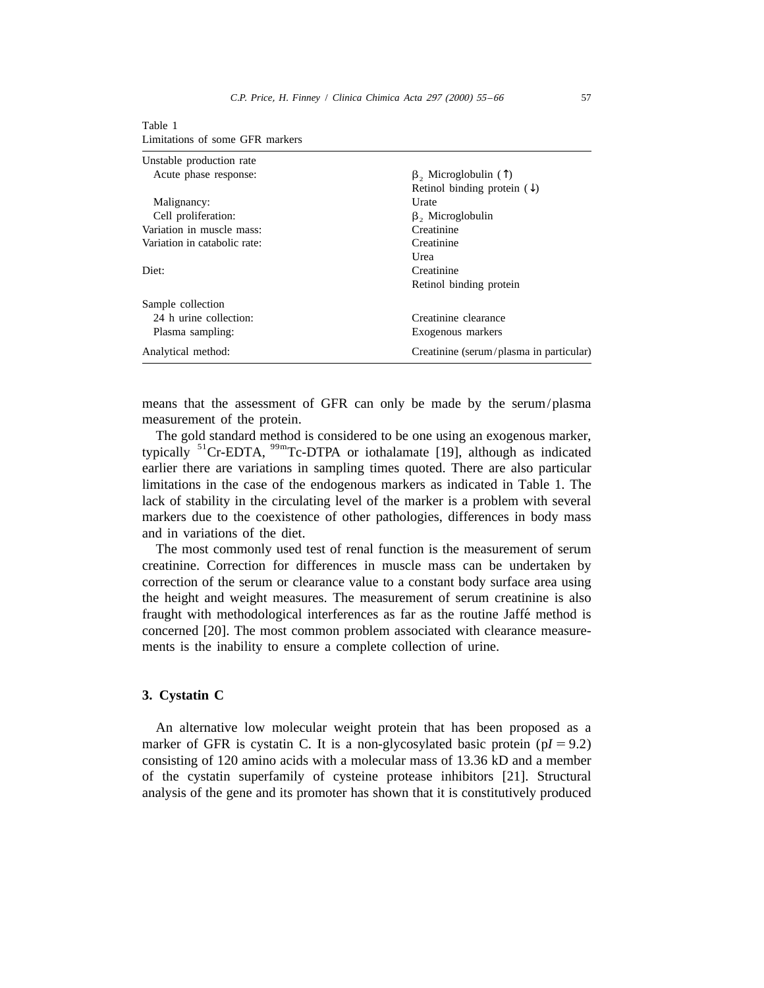| Unstable production rate     |                                         |  |  |
|------------------------------|-----------------------------------------|--|--|
| Acute phase response:        | $\beta$ , Microglobulin (1)             |  |  |
|                              | Retinol binding protein $(\downarrow)$  |  |  |
| Malignancy:                  | Urate                                   |  |  |
| Cell proliferation:          | $\beta$ , Microglobulin                 |  |  |
| Variation in muscle mass:    | Creatinine                              |  |  |
| Variation in catabolic rate: | Creatinine                              |  |  |
|                              | Urea                                    |  |  |
| Diet:                        | Creatinine                              |  |  |
|                              | Retinol binding protein                 |  |  |
| Sample collection            |                                         |  |  |
| 24 h urine collection:       | Creatinine clearance                    |  |  |
| Plasma sampling:             | Exogenous markers                       |  |  |
| Analytical method:           | Creatinine (serum/plasma in particular) |  |  |

Table 1 Limitations of some GFR markers

means that the assessment of GFR can only be made by the serum/plasma measurement of the protein.

The gold standard method is considered to be one using an exogenous marker, typically  ${}^{51}$ Cr-EDTA,  ${}^{99m}$ Tc-DTPA or iothalamate [19], although as indicated earlier there are variations in sampling times quoted. There are also particular limitations in the case of the endogenous markers as indicated in Table 1. The lack of stability in the circulating level of the marker is a problem with several markers due to the coexistence of other pathologies, differences in body mass and in variations of the diet.

The most commonly used test of renal function is the measurement of serum creatinine. Correction for differences in muscle mass can be undertaken by correction of the serum or clearance value to a constant body surface area using the height and weight measures. The measurement of serum creatinine is also fraught with methodological interferences as far as the routine Jaffe method is ´ concerned [20]. The most common problem associated with clearance measurements is the inability to ensure a complete collection of urine.

# **3. Cystatin C**

An alternative low molecular weight protein that has been proposed as a marker of GFR is cystatin C. It is a non-glycosylated basic protein  $(pI = 9.2)$ consisting of 120 amino acids with a molecular mass of 13.36 kD and a member of the cystatin superfamily of cysteine protease inhibitors [21]. Structural analysis of the gene and its promoter has shown that it is constitutively produced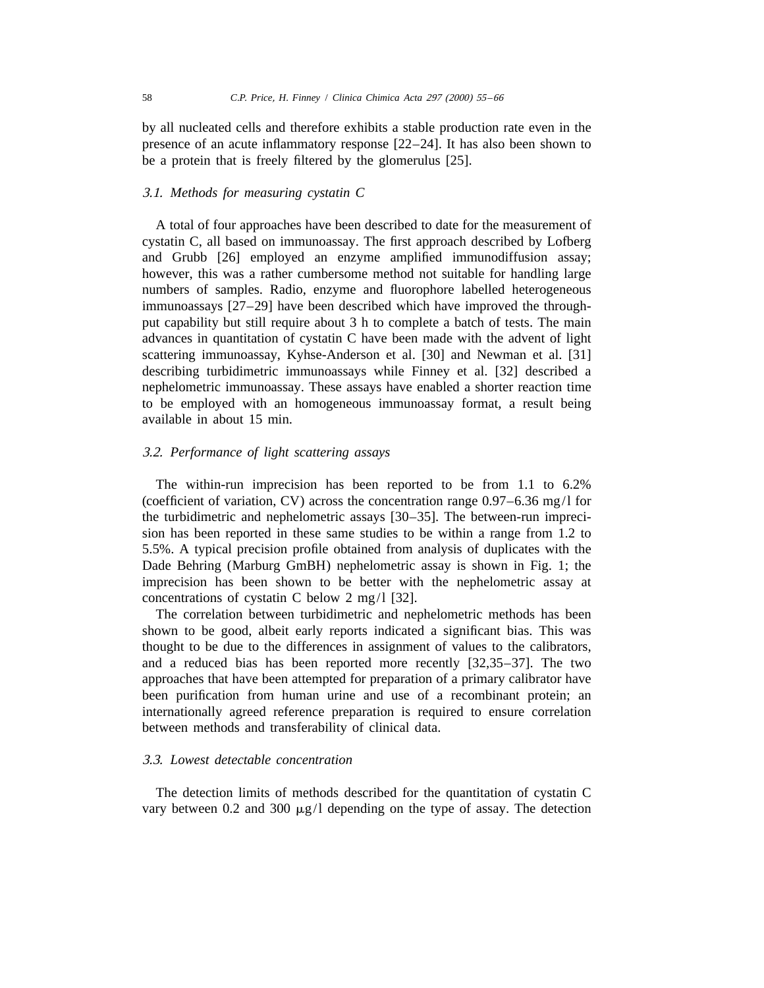by all nucleated cells and therefore exhibits a stable production rate even in the presence of an acute inflammatory response [22–24]. It has also been shown to be a protein that is freely filtered by the glomerulus [25].

#### 3.1. *Methods for measuring cystatin C*

A total of four approaches have been described to date for the measurement of cystatin C, all based on immunoassay. The first approach described by Lofberg and Grubb [26] employed an enzyme amplified immunodiffusion assay; however, this was a rather cumbersome method not suitable for handling large numbers of samples. Radio, enzyme and fluorophore labelled heterogeneous immunoassays [27–29] have been described which have improved the throughput capability but still require about 3 h to complete a batch of tests. The main advances in quantitation of cystatin C have been made with the advent of light scattering immunoassay, Kyhse-Anderson et al. [30] and Newman et al. [31] describing turbidimetric immunoassays while Finney et al. [32] described a nephelometric immunoassay. These assays have enabled a shorter reaction time to be employed with an homogeneous immunoassay format, a result being available in about 15 min.

# 3.2. *Performance of light scattering assays*

The within-run imprecision has been reported to be from 1.1 to 6.2% (coefficient of variation, CV) across the concentration range 0.97–6.36 mg/l for the turbidimetric and nephelometric assays [30–35]. The between-run imprecision has been reported in these same studies to be within a range from 1.2 to 5.5%. A typical precision profile obtained from analysis of duplicates with the Dade Behring (Marburg GmBH) nephelometric assay is shown in Fig. 1; the imprecision has been shown to be better with the nephelometric assay at concentrations of cystatin C below 2 mg/l [32].

The correlation between turbidimetric and nephelometric methods has been shown to be good, albeit early reports indicated a significant bias. This was thought to be due to the differences in assignment of values to the calibrators, and a reduced bias has been reported more recently [32,35–37]. The two approaches that have been attempted for preparation of a primary calibrator have been purification from human urine and use of a recombinant protein; an internationally agreed reference preparation is required to ensure correlation between methods and transferability of clinical data.

# 3.3. *Lowest detectable concentration*

The detection limits of methods described for the quantitation of cystatin C vary between 0.2 and 300  $\mu$ g/l depending on the type of assay. The detection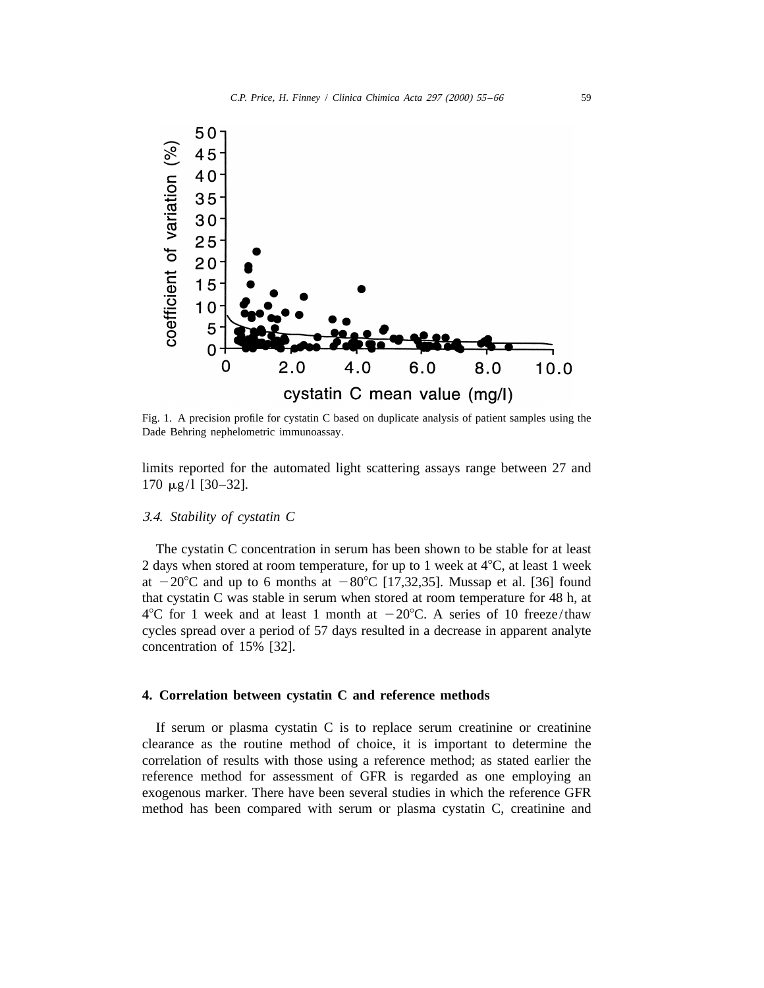

Fig. 1. A precision profile for cystatin C based on duplicate analysis of patient samples using the Dade Behring nephelometric immunoassay.

limits reported for the automated light scattering assays range between 27 and  $170 \mu g/1$  [30-32].

#### 3.4. *Stability of cystatin C*

The cystatin C concentration in serum has been shown to be stable for at least 2 days when stored at room temperature, for up to 1 week at  $4^{\circ}$ C, at least 1 week at  $-20^{\circ}$ C and up to 6 months at  $-80^{\circ}$ C [17,32,35]. Mussap et al. [36] found that cystatin C was stable in serum when stored at room temperature for 48 h, at  $4^{\circ}$ C for 1 week and at least 1 month at  $-20^{\circ}$ C. A series of 10 freeze/thaw cycles spread over a period of 57 days resulted in a decrease in apparent analyte concentration of 15% [32].

## **4. Correlation between cystatin C and reference methods**

If serum or plasma cystatin C is to replace serum creatinine or creatinine clearance as the routine method of choice, it is important to determine the correlation of results with those using a reference method; as stated earlier the reference method for assessment of GFR is regarded as one employing an exogenous marker. There have been several studies in which the reference GFR method has been compared with serum or plasma cystatin C, creatinine and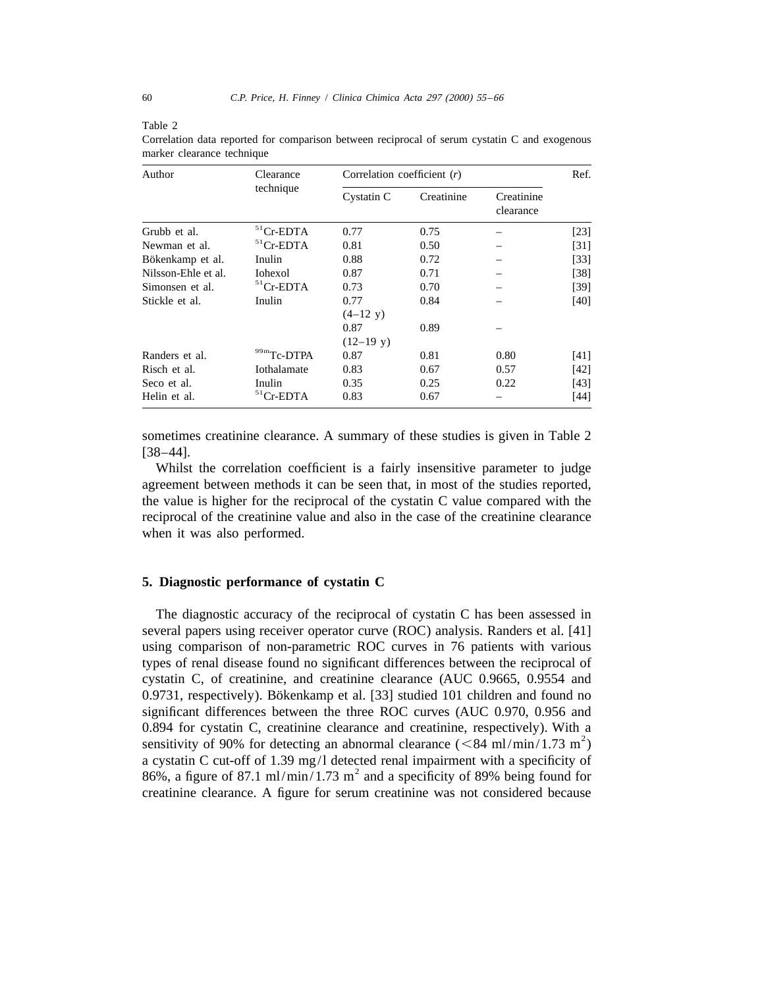| Author              | Clearance<br>technique |                     | Correlation coefficient $(r)$ |                         |        |
|---------------------|------------------------|---------------------|-------------------------------|-------------------------|--------|
|                     |                        | Cystatin C          | Creatinine                    | Creatinine<br>clearance |        |
| Grubb et al.        | $51$ Cr-EDTA           | 0.77                | 0.75                          |                         | $[23]$ |
| Newman et al.       | ${}^{51}$ Cr-EDTA      | 0.81                | 0.50                          |                         | [31]   |
| Bökenkamp et al.    | Inulin                 | 0.88                | 0.72                          |                         | $[33]$ |
| Nilsson-Ehle et al. | Iohexol                | 0.87                | 0.71                          |                         | $[38]$ |
| Simonsen et al.     | $51$ Cr-EDTA           | 0.73                | 0.70                          |                         | [39]   |
| Stickle et al.      | Inulin                 | 0.77                | 0.84                          |                         | [40]   |
|                     |                        | $(4-12 \text{ y})$  |                               |                         |        |
|                     |                        | 0.87                | 0.89                          |                         |        |
|                     |                        | $(12-19 \text{ y})$ |                               |                         |        |
| Randers et al.      | 99mTc-DTPA             | 0.87                | 0.81                          | 0.80                    | [41]   |
| Risch et al.        | Iothalamate            | 0.83                | 0.67                          | 0.57                    | [42]   |
| Seco et al.         | Inulin                 | 0.35                | 0.25                          | 0.22                    | [43]   |
| Helin et al.        | $51$ Cr-EDTA           | 0.83                | 0.67                          |                         | $[44]$ |

Correlation data reported for comparison between reciprocal of serum cystatin C and exogenous marker clearance technique

sometimes creatinine clearance. A summary of these studies is given in Table 2 [38–44].

Whilst the correlation coefficient is a fairly insensitive parameter to judge agreement between methods it can be seen that, in most of the studies reported, the value is higher for the reciprocal of the cystatin C value compared with the reciprocal of the creatinine value and also in the case of the creatinine clearance when it was also performed.

## **5. Diagnostic performance of cystatin C**

The diagnostic accuracy of the reciprocal of cystatin C has been assessed in several papers using receiver operator curve (ROC) analysis. Randers et al. [41] using comparison of non-parametric ROC curves in 76 patients with various types of renal disease found no significant differences between the reciprocal of cystatin C, of creatinine, and creatinine clearance (AUC 0.9665, 0.9554 and 0.9731, respectively). Bökenkamp et al. [33] studied 101 children and found no significant differences between the three ROC curves (AUC 0.970, 0.956 and 0.894 for cystatin C, creatinine clearance and creatinine, respectively). With a sensitivity of 90% for detecting an abnormal clearance ( $\leq 84$  ml/min/1.73 m<sup>2</sup>) a cystatin C cut-off of 1.39 mg/l detected renal impairment with a specificity of 86%, a figure of 87.1 ml/min/1.73 m<sup>2</sup> and a specificity of 89% being found for creatinine clearance. A figure for serum creatinine was not considered because

Table 2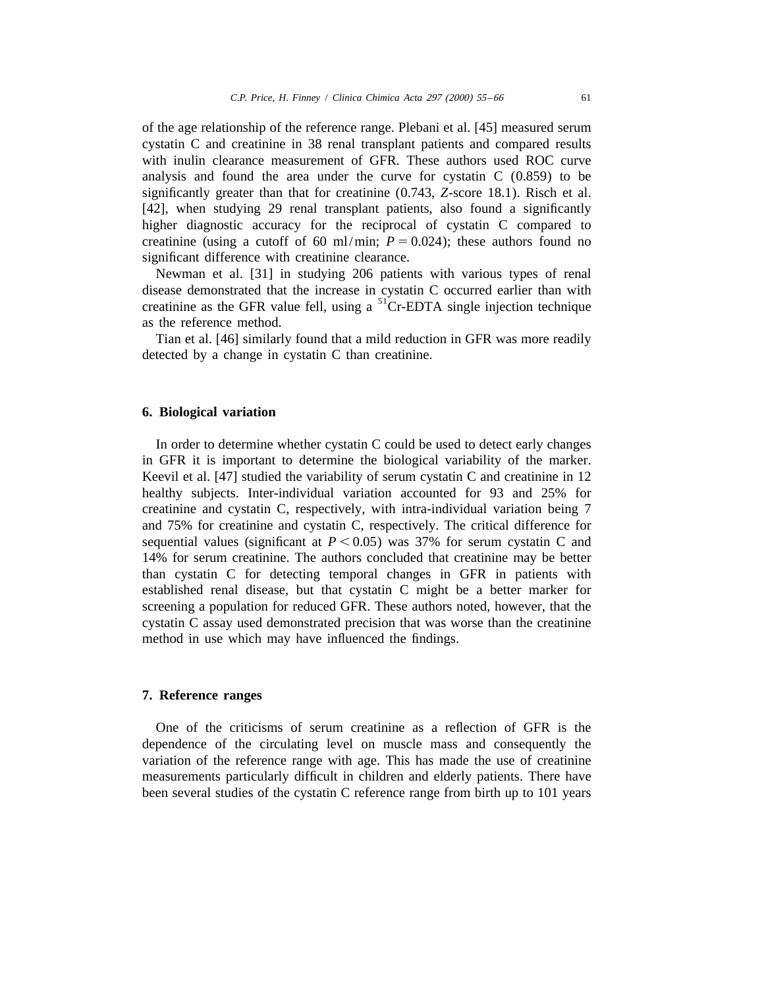of the age relationship of the reference range. Plebani et al. [45] measured serum cystatin C and creatinine in 38 renal transplant patients and compared results with inulin clearance measurement of GFR. These authors used ROC curve analysis and found the area under the curve for cystatin C (0.859) to be significantly greater than that for creatinine (0.743, *Z*-score 18.1). Risch et al. [42], when studying 29 renal transplant patients, also found a significantly higher diagnostic accuracy for the reciprocal of cystatin C compared to creatinine (using a cutoff of 60 ml/min;  $P = 0.024$ ); these authors found no significant difference with creatinine clearance.

Newman et al. [31] in studying 206 patients with various types of renal disease demonstrated that the increase in cystatin C occurred earlier than with creatinine as the GFR value fell, using a  ${}^{51}$ Cr-EDTA single injection technique as the reference method.

Tian et al. [46] similarly found that a mild reduction in GFR was more readily detected by a change in cystatin C than creatinine.

### **6. Biological variation**

In order to determine whether cystatin C could be used to detect early changes in GFR it is important to determine the biological variability of the marker. Keevil et al. [47] studied the variability of serum cystatin C and creatinine in 12 healthy subjects. Inter-individual variation accounted for 93 and 25% for creatinine and cystatin C, respectively, with intra-individual variation being 7 and 75% for creatinine and cystatin C, respectively. The critical difference for sequential values (significant at  $P \le 0.05$ ) was 37% for serum cystatin C and 14% for serum creatinine. The authors concluded that creatinine may be better than cystatin C for detecting temporal changes in GFR in patients with established renal disease, but that cystatin C might be a better marker for screening a population for reduced GFR. These authors noted, however, that the cystatin C assay used demonstrated precision that was worse than the creatinine method in use which may have influenced the findings.

#### **7. Reference ranges**

One of the criticisms of serum creatinine as a reflection of GFR is the dependence of the circulating level on muscle mass and consequently the variation of the reference range with age. This has made the use of creatinine measurements particularly difficult in children and elderly patients. There have been several studies of the cystatin C reference range from birth up to 101 years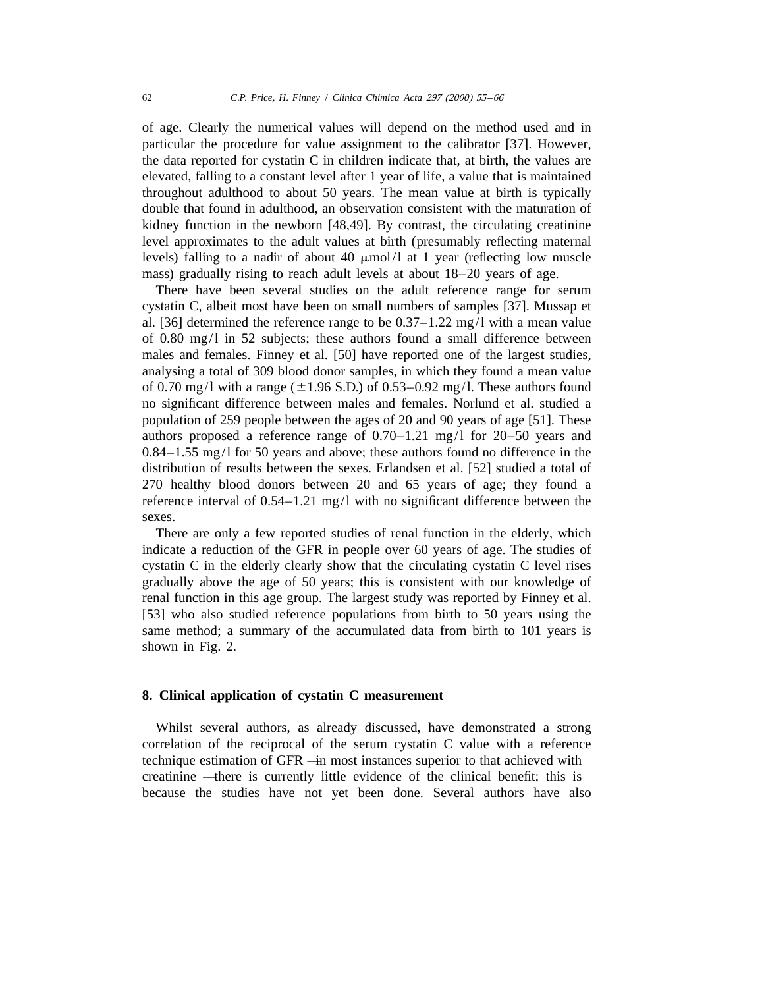of age. Clearly the numerical values will depend on the method used and in particular the procedure for value assignment to the calibrator [37]. However, the data reported for cystatin C in children indicate that, at birth, the values are elevated, falling to a constant level after 1 year of life, a value that is maintained throughout adulthood to about 50 years. The mean value at birth is typically double that found in adulthood, an observation consistent with the maturation of kidney function in the newborn [48,49]. By contrast, the circulating creatinine level approximates to the adult values at birth (presumably reflecting maternal levels) falling to a nadir of about 40  $\mu$ mol/l at 1 year (reflecting low muscle mass) gradually rising to reach adult levels at about 18–20 years of age.

There have been several studies on the adult reference range for serum cystatin C, albeit most have been on small numbers of samples [37]. Mussap et al. [36] determined the reference range to be 0.37–1.22 mg/l with a mean value of 0.80 mg/l in 52 subjects; these authors found a small difference between males and females. Finney et al. [50] have reported one of the largest studies, analysing a total of 309 blood donor samples, in which they found a mean value of 0.70 mg/l with a range ( $\pm$ 1.96 S.D.) of 0.53–0.92 mg/l. These authors found no significant difference between males and females. Norlund et al. studied a population of 259 people between the ages of 20 and 90 years of age [51]. These authors proposed a reference range of 0.70–1.21 mg/l for 20–50 years and 0.84–1.55 mg/l for 50 years and above; these authors found no difference in the distribution of results between the sexes. Erlandsen et al. [52] studied a total of 270 healthy blood donors between 20 and 65 years of age; they found a reference interval of 0.54–1.21 mg/l with no significant difference between the sexes.

There are only a few reported studies of renal function in the elderly, which indicate a reduction of the GFR in people over 60 years of age. The studies of cystatin C in the elderly clearly show that the circulating cystatin C level rises gradually above the age of 50 years; this is consistent with our knowledge of renal function in this age group. The largest study was reported by Finney et al. [53] who also studied reference populations from birth to 50 years using the same method; a summary of the accumulated data from birth to 101 years is shown in Fig. 2.

## **8. Clinical application of cystatin C measurement**

Whilst several authors, as already discussed, have demonstrated a strong correlation of the reciprocal of the serum cystatin C value with a reference technique estimation of GFR — in most instances superior to that achieved with creatinine — there is currently little evidence of the clinical benefit; this is because the studies have not yet been done. Several authors have also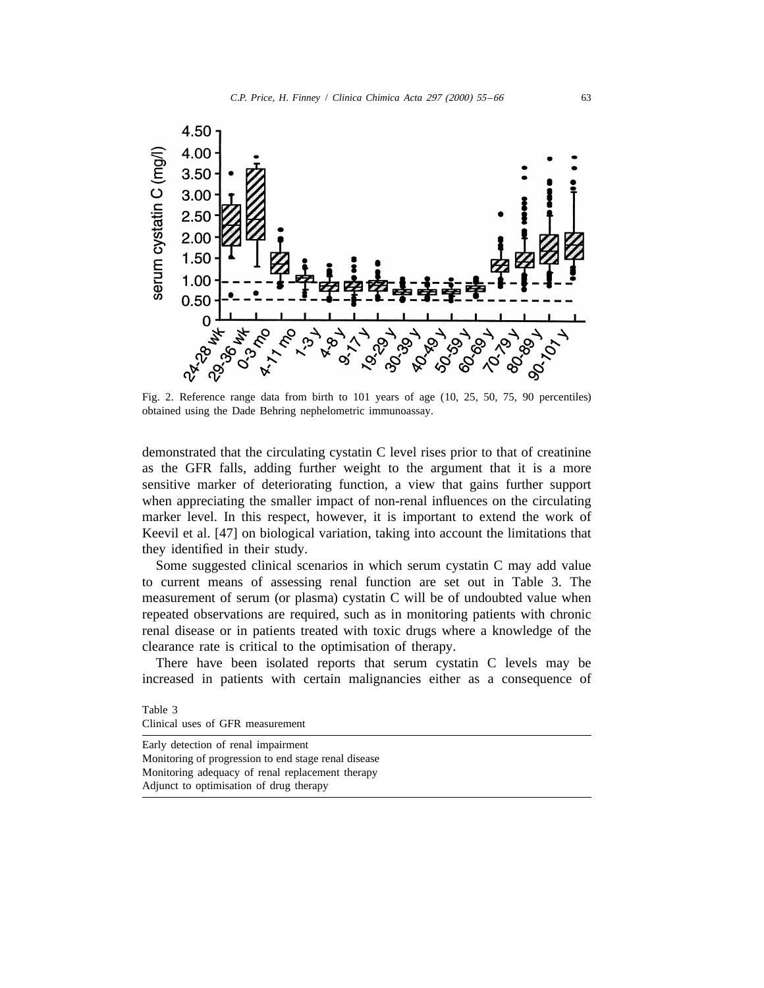

Fig. 2. Reference range data from birth to 101 years of age (10, 25, 50, 75, 90 percentiles) obtained using the Dade Behring nephelometric immunoassay.

demonstrated that the circulating cystatin C level rises prior to that of creatinine as the GFR falls, adding further weight to the argument that it is a more sensitive marker of deteriorating function, a view that gains further support when appreciating the smaller impact of non-renal influences on the circulating marker level. In this respect, however, it is important to extend the work of Keevil et al. [47] on biological variation, taking into account the limitations that they identified in their study.

Some suggested clinical scenarios in which serum cystatin C may add value to current means of assessing renal function are set out in Table 3. The measurement of serum (or plasma) cystatin C will be of undoubted value when repeated observations are required, such as in monitoring patients with chronic renal disease or in patients treated with toxic drugs where a knowledge of the clearance rate is critical to the optimisation of therapy.

There have been isolated reports that serum cystatin C levels may be increased in patients with certain malignancies either as a consequence of

Table 3 Clinical uses of GFR measurement

Early detection of renal impairment Monitoring of progression to end stage renal disease Monitoring adequacy of renal replacement therapy Adjunct to optimisation of drug therapy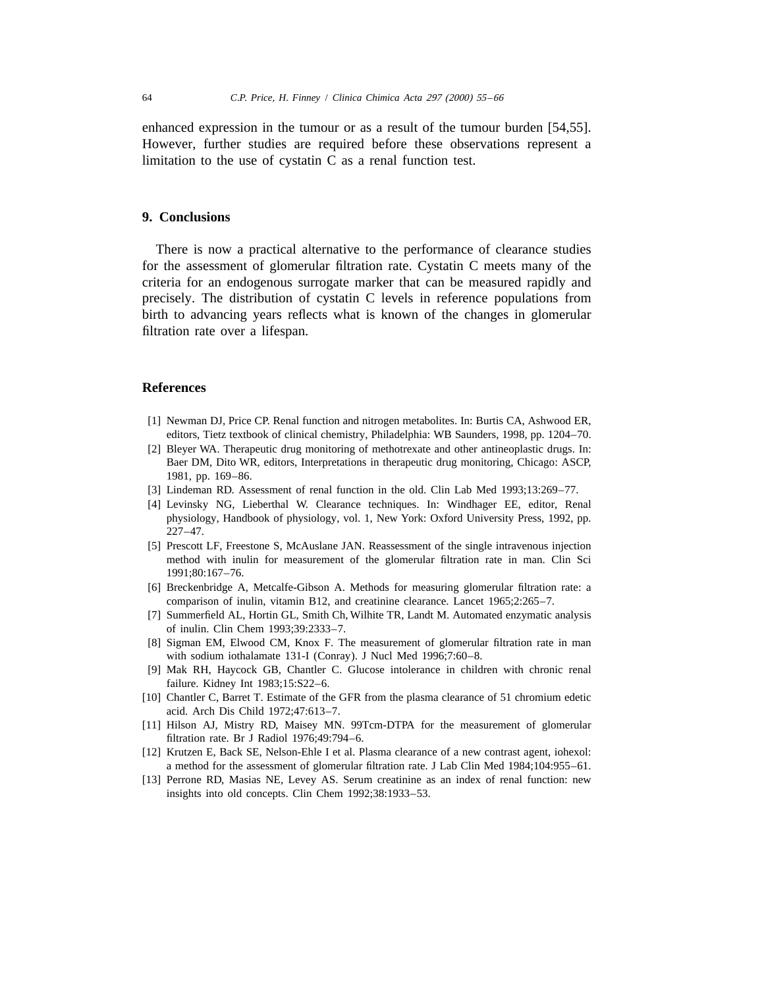enhanced expression in the tumour or as a result of the tumour burden [54,55]. However, further studies are required before these observations represent a limitation to the use of cystatin C as a renal function test.

#### **9. Conclusions**

There is now a practical alternative to the performance of clearance studies for the assessment of glomerular filtration rate. Cystatin C meets many of the criteria for an endogenous surrogate marker that can be measured rapidly and precisely. The distribution of cystatin C levels in reference populations from birth to advancing years reflects what is known of the changes in glomerular filtration rate over a lifespan.

#### **References**

- [1] Newman DJ, Price CP. Renal function and nitrogen metabolites. In: Burtis CA, Ashwood ER, editors, Tietz textbook of clinical chemistry, Philadelphia: WB Saunders, 1998, pp. 1204–70.
- [2] Bleyer WA. Therapeutic drug monitoring of methotrexate and other antineoplastic drugs. In: Baer DM, Dito WR, editors, Interpretations in therapeutic drug monitoring, Chicago: ASCP, 1981, pp. 169–86.
- [3] Lindeman RD. Assessment of renal function in the old. Clin Lab Med 1993;13:269–77.
- [4] Levinsky NG, Lieberthal W. Clearance techniques. In: Windhager EE, editor, Renal physiology, Handbook of physiology, vol. 1, New York: Oxford University Press, 1992, pp. 227–47.
- [5] Prescott LF, Freestone S, McAuslane JAN. Reassessment of the single intravenous injection method with inulin for measurement of the glomerular filtration rate in man. Clin Sci 1991;80:167–76.
- [6] Breckenbridge A, Metcalfe-Gibson A. Methods for measuring glomerular filtration rate: a comparison of inulin, vitamin B12, and creatinine clearance. Lancet 1965;2:265–7.
- [7] Summerfield AL, Hortin GL, Smith Ch, Wilhite TR, Landt M. Automated enzymatic analysis of inulin. Clin Chem 1993;39:2333–7.
- [8] Sigman EM, Elwood CM, Knox F. The measurement of glomerular filtration rate in man with sodium iothalamate 131-I (Conray). J Nucl Med 1996;7:60–8.
- [9] Mak RH, Haycock GB, Chantler C. Glucose intolerance in children with chronic renal failure. Kidney Int 1983;15:S22–6.
- [10] Chantler C, Barret T. Estimate of the GFR from the plasma clearance of 51 chromium edetic acid. Arch Dis Child 1972;47:613–7.
- [11] Hilson AJ, Mistry RD, Maisey MN. 99Tcm-DTPA for the measurement of glomerular filtration rate. Br J Radiol 1976;49:794–6.
- [12] Krutzen E, Back SE, Nelson-Ehle I et al. Plasma clearance of a new contrast agent, iohexol: a method for the assessment of glomerular filtration rate. J Lab Clin Med 1984;104:955–61.
- [13] Perrone RD, Masias NE, Levey AS. Serum creatinine as an index of renal function: new insights into old concepts. Clin Chem 1992;38:1933–53.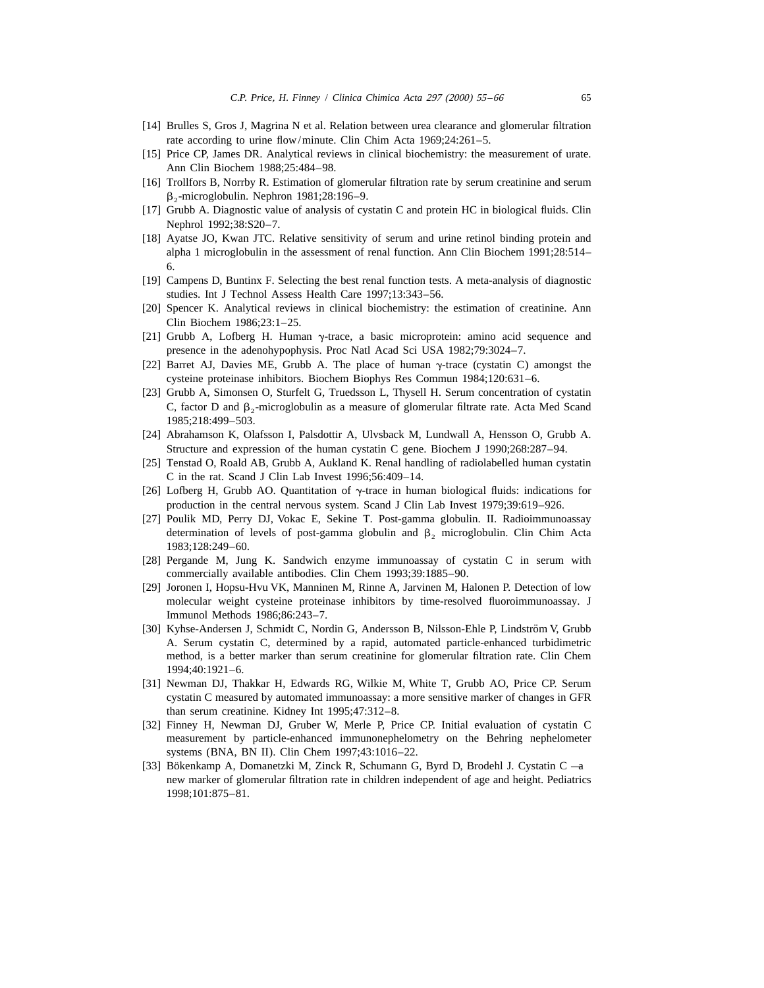- [14] Brulles S, Gros J, Magrina N et al. Relation between urea clearance and glomerular filtration rate according to urine flow/minute. Clin Chim Acta 1969;24:261–5.
- [15] Price CP, James DR. Analytical reviews in clinical biochemistry: the measurement of urate. Ann Clin Biochem 1988;25:484–98.
- [16] Trollfors B, Norrby R. Estimation of glomerular filtration rate by serum creatinine and serum  $\beta_2$ -microglobulin. Nephron 1981;28:196–9.
- [17] Grubb A. Diagnostic value of analysis of cystatin C and protein HC in biological fluids. Clin Nephrol 1992;38:S20–7.
- [18] Ayatse JO, Kwan JTC. Relative sensitivity of serum and urine retinol binding protein and alpha 1 microglobulin in the assessment of renal function. Ann Clin Biochem 1991;28:514– 6.
- [19] Campens D, Buntinx F. Selecting the best renal function tests. A meta-analysis of diagnostic studies. Int J Technol Assess Health Care 1997;13:343–56.
- [20] Spencer K. Analytical reviews in clinical biochemistry: the estimation of creatinine. Ann Clin Biochem 1986;23:1–25.
- [21] Grubb A, Lofberg H. Human  $\gamma$ -trace, a basic microprotein: amino acid sequence and presence in the adenohypophysis. Proc Natl Acad Sci USA 1982;79:3024–7.
- [22] Barret AJ, Davies ME, Grubb A. The place of human  $\gamma$ -trace (cystatin C) amongst the cysteine proteinase inhibitors. Biochem Biophys Res Commun 1984;120:631–6.
- [23] Grubb A, Simonsen O, Sturfelt G, Truedsson L, Thysell H. Serum concentration of cystatin C, factor D and  $\beta_2$ -microglobulin as a measure of glomerular filtrate rate. Acta Med Scand 1985;218:499–503.
- [24] Abrahamson K, Olafsson I, Palsdottir A, Ulvsback M, Lundwall A, Hensson O, Grubb A. Structure and expression of the human cystatin C gene. Biochem J 1990;268:287–94.
- [25] Tenstad O, Roald AB, Grubb A, Aukland K. Renal handling of radiolabelled human cystatin C in the rat. Scand J Clin Lab Invest 1996;56:409–14.
- [26] Lofberg H, Grubb AO. Quantitation of  $\gamma$ -trace in human biological fluids: indications for production in the central nervous system. Scand J Clin Lab Invest 1979;39:619–926.
- [27] Poulik MD, Perry DJ, Vokac E, Sekine T. Post-gamma globulin. II. Radioimmunoassay determination of levels of post-gamma globulin and  $\beta$ , microglobulin. Clin Chim Acta 1983;128:249–60.
- [28] Pergande M, Jung K. Sandwich enzyme immunoassay of cystatin C in serum with commercially available antibodies. Clin Chem 1993;39:1885–90.
- [29] Joronen I, Hopsu-Hvu VK, Manninen M, Rinne A, Jarvinen M, Halonen P. Detection of low molecular weight cysteine proteinase inhibitors by time-resolved fluoroimmunoassay. J Immunol Methods 1986;86:243–7.
- [30] Kyhse-Andersen J, Schmidt C, Nordin G, Andersson B, Nilsson-Ehle P, Lindström V, Grubb A. Serum cystatin C, determined by a rapid, automated particle-enhanced turbidimetric method, is a better marker than serum creatinine for glomerular filtration rate. Clin Chem 1994;40:1921–6.
- [31] Newman DJ, Thakkar H, Edwards RG, Wilkie M, White T, Grubb AO, Price CP. Serum cystatin C measured by automated immunoassay: a more sensitive marker of changes in GFR than serum creatinine. Kidney Int 1995;47:312–8.
- [32] Finney H, Newman DJ, Gruber W, Merle P, Price CP. Initial evaluation of cystatin C measurement by particle-enhanced immunonephelometry on the Behring nephelometer systems (BNA, BN II). Clin Chem 1997;43:1016–22.
- [33] Bökenkamp A, Domanetzki M, Zinck R, Schumann G, Byrd D, Brodehl J. Cystatin C -a new marker of glomerular filtration rate in children independent of age and height. Pediatrics 1998;101:875–81.